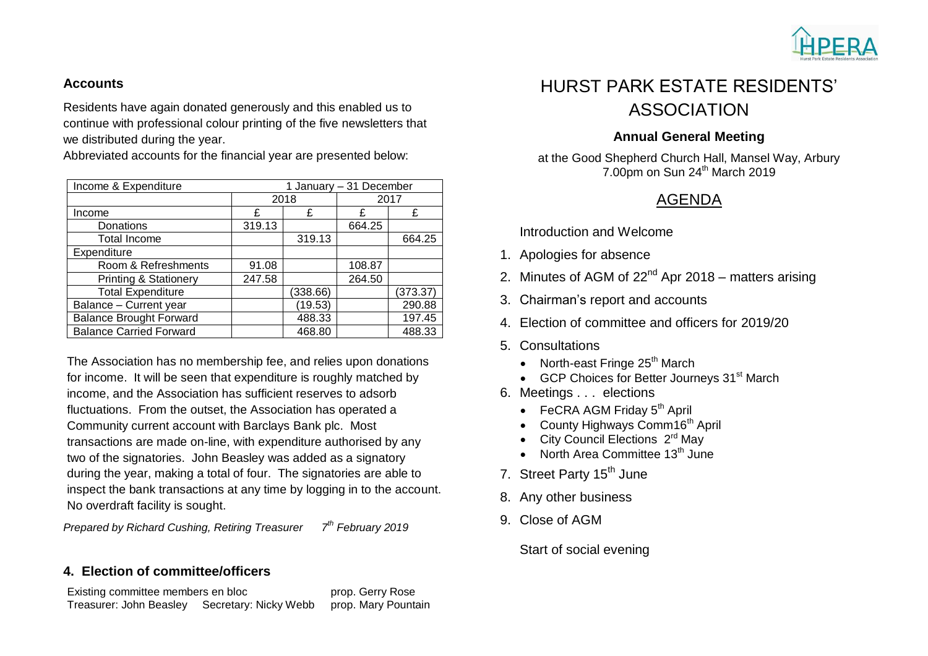

### **Accounts**

Residents have again donated generously and this enabled us to continue with professional colour printing of the five newsletters that we distributed during the year.

Abbreviated accounts for the financial year are presented below:

| Income & Expenditure             | 1 January - 31 December |          |        |          |
|----------------------------------|-------------------------|----------|--------|----------|
|                                  | 2018                    |          | 2017   |          |
| Income                           | £                       | £        | £      | £        |
| Donations                        | 319.13                  |          | 664.25 |          |
| <b>Total Income</b>              |                         | 319.13   |        | 664.25   |
| Expenditure                      |                         |          |        |          |
| Room & Refreshments              | 91.08                   |          | 108.87 |          |
| <b>Printing &amp; Stationery</b> | 247.58                  |          | 264.50 |          |
| <b>Total Expenditure</b>         |                         | (338.66) |        | (373.37) |
| Balance - Current year           |                         | (19.53)  |        | 290.88   |
| <b>Balance Brought Forward</b>   |                         | 488.33   |        | 197.45   |
| <b>Balance Carried Forward</b>   |                         | 468.80   |        | 488.33   |

The Association has no membership fee, and relies upon donations for income. It will be seen that expenditure is roughly matched by income, and the Association has sufficient reserves to adsorb fluctuations. From the outset, the Association has operated a Community current account with Barclays Bank plc. Most transactions are made on-line, with expenditure authorised by any two of the signatories. John Beasley was added as a signatory during the year, making a total of four. The signatories are able to inspect the bank transactions at any time by logging in to the account. No overdraft facility is sought.

*Prepared by Richard Cushing, Retiring Treasurer th February 2019*

## **4. Election of committee/officers**

Existing committee members en bloc **prop.** Gerry Rose Treasurer: John Beasley Secretary: Nicky Webb prop. Mary Pountain

# HURST PARK ESTATE RESIDENTS' ASSOCIATION

## **Annual General Meeting**

at the Good Shepherd Church Hall, Mansel Way, Arbury 7.00pm on Sun 24<sup>th</sup> March 2019

# AGENDA

Introduction and Welcome

- 1. Apologies for absence
- 2. Minutes of AGM of  $22<sup>nd</sup>$  Apr 2018 matters arising
- 3. Chairman's report and accounts
- 4. Election of committee and officers for 2019/20
- 5. Consultations
	- North-east Fringe  $25<sup>th</sup>$  March
	- GCP Choices for Better Journeys 31<sup>st</sup> March
- 6. Meetings . . . elections
	- $\bullet$  FeCRA AGM Friday  $5<sup>th</sup>$  April
	- County Highways Comm16<sup>th</sup> April
	- City Council Elections  $2<sup>rd</sup>$  May
	- North Area Committee  $13<sup>th</sup>$  June
- 7. Street Party 15<sup>th</sup> June
- 8. Any other business
- 9. Close of AGM

Start of social evening